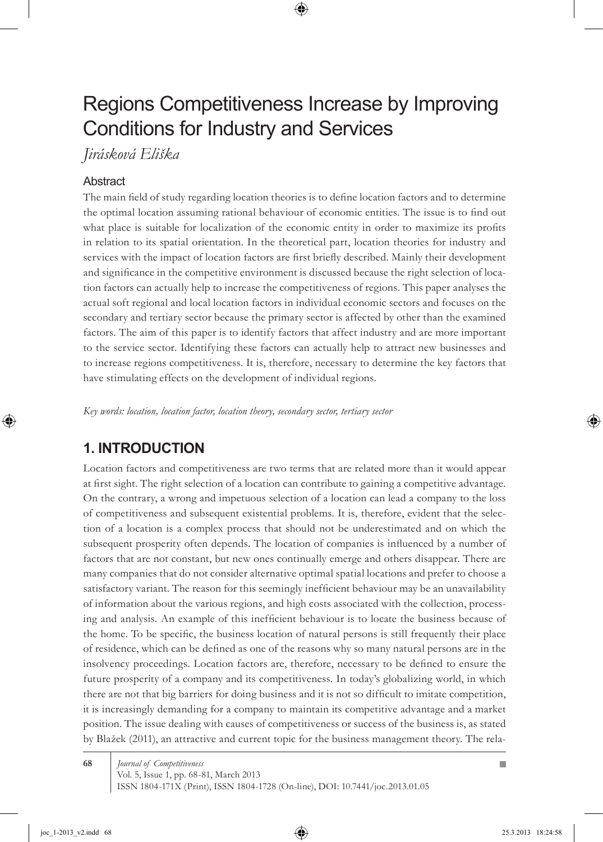# Regions Competitiveness Increase by Improving Conditions for Industry and Services

*Jirásková Eliška*

#### Abstract

The main field of study regarding location theories is to define location factors and to determine the optimal location assuming rational behaviour of economic entities. The issue is to find out what place is suitable for localization of the economic entity in order to maximize its profits in relation to its spatial orientation. In the theoretical part, location theories for industry and services with the impact of location factors are first briefly described. Mainly their development and significance in the competitive environment is discussed because the right selection of location factors can actually help to increase the competitiveness of regions. This paper analyses the actual soft regional and local location factors in individual economic sectors and focuses on the secondary and tertiary sector because the primary sector is affected by other than the examined factors. The aim of this paper is to identify factors that affect industry and are more important to the service sector. Identifying these factors can actually help to attract new businesses and to increase regions competitiveness. It is, therefore, necessary to determine the key factors that have stimulating effects on the development of individual regions.

*Key words: location, location factor, location theory, secondary sector, tertiary sector*

# **1. INTRODUCTION**

Location factors and competitiveness are two terms that are related more than it would appear at first sight. The right selection of a location can contribute to gaining a competitive advantage. On the contrary, a wrong and impetuous selection of a location can lead a company to the loss of competitiveness and subsequent existential problems. It is, therefore, evident that the selection of a location is a complex process that should not be underestimated and on which the subsequent prosperity often depends. The location of companies is influenced by a number of factors that are not constant, but new ones continually emerge and others disappear. There are many companies that do not consider alternative optimal spatial locations and prefer to choose a satisfactory variant. The reason for this seemingly inefficient behaviour may be an unavailability of information about the various regions, and high costs associated with the collection, processing and analysis. An example of this inefficient behaviour is to locate the business because of the home. To be specific, the business location of natural persons is still frequently their place of residence, which can be defined as one of the reasons why so many natural persons are in the insolvency proceedings. Location factors are, therefore, necessary to be defined to ensure the future prosperity of a company and its competitiveness. In today's globalizing world, in which there are not that big barriers for doing business and it is not so difficult to imitate competition, it is increasingly demanding for a company to maintain its competitive advantage and a market position. The issue dealing with causes of competitiveness or success of the business is, as stated by Blažek (2011), an attractive and current topic for the business management theory. The rela-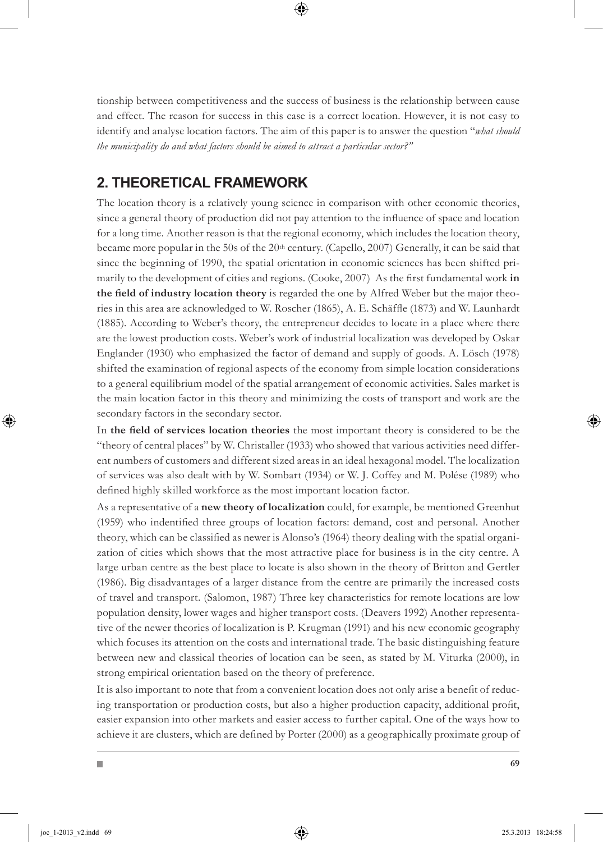tionship between competitiveness and the success of business is the relationship between cause and effect. The reason for success in this case is a correct location. However, it is not easy to identify and analyse location factors. The aim of this paper is to answer the question "*what should the municipality do and what factors should be aimed to attract a particular sector?"*

### **2. THEORETICAL FRAMEWORK**

The location theory is a relatively young science in comparison with other economic theories, since a general theory of production did not pay attention to the influence of space and location for a long time. Another reason is that the regional economy, which includes the location theory, became more popular in the 50s of the 20th century. (Capello, 2007) Generally, it can be said that since the beginning of 1990, the spatial orientation in economic sciences has been shifted primarily to the development of cities and regions. (Cooke, 2007) As the first fundamental work **in the field of industry location theory** is regarded the one by Alfred Weber but the major theories in this area are acknowledged to W. Roscher (1865), A. E. Schäffle (1873) and W. Launhardt (1885). According to Weber's theory, the entrepreneur decides to locate in a place where there are the lowest production costs. Weber's work of industrial localization was developed by Oskar Englander (1930) who emphasized the factor of demand and supply of goods. A. Lösch (1978) shifted the examination of regional aspects of the economy from simple location considerations to a general equilibrium model of the spatial arrangement of economic activities. Sales market is the main location factor in this theory and minimizing the costs of transport and work are the secondary factors in the secondary sector.

In **the field of services location theories** the most important theory is considered to be the "theory of central places" by W. Christaller (1933) who showed that various activities need different numbers of customers and different sized areas in an ideal hexagonal model. The localization of services was also dealt with by W. Sombart (1934) or W. J. Coffey and M. Polése (1989) who defined highly skilled workforce as the most important location factor.

As a representative of a **new theory of localization** could, for example, be mentioned Greenhut (1959) who indentified three groups of location factors: demand, cost and personal. Another theory, which can be classified as newer is Alonso's (1964) theory dealing with the spatial organization of cities which shows that the most attractive place for business is in the city centre. A large urban centre as the best place to locate is also shown in the theory of Britton and Gertler (1986). Big disadvantages of a larger distance from the centre are primarily the increased costs of travel and transport. (Salomon, 1987) Three key characteristics for remote locations are low population density, lower wages and higher transport costs. (Deavers 1992) Another representative of the newer theories of localization is P. Krugman (1991) and his new economic geography which focuses its attention on the costs and international trade. The basic distinguishing feature between new and classical theories of location can be seen, as stated by M. Viturka (2000), in strong empirical orientation based on the theory of preference.

It is also important to note that from a convenient location does not only arise a benefit of reducing transportation or production costs, but also a higher production capacity, additional profit, easier expansion into other markets and easier access to further capital. One of the ways how to achieve it are clusters, which are defined by Porter (2000) as a geographically proximate group of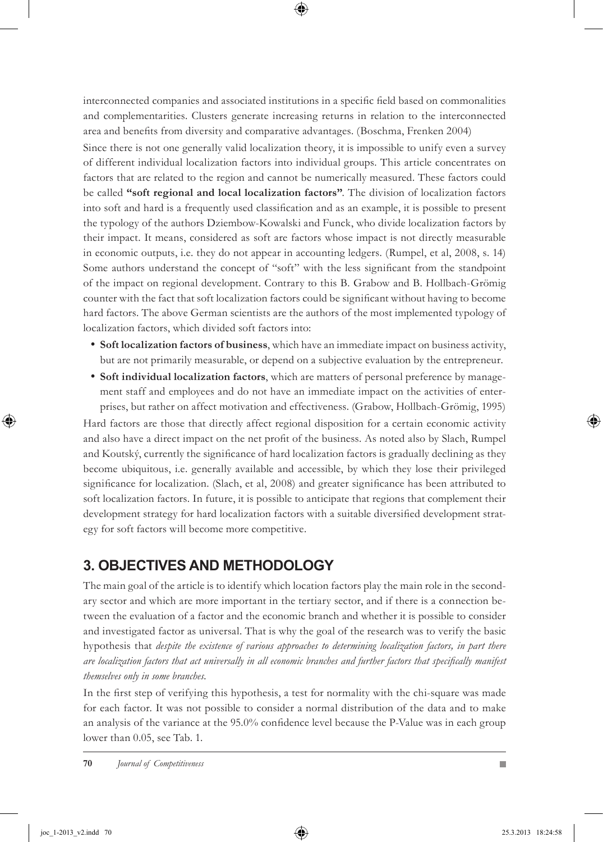interconnected companies and associated institutions in a specific field based on commonalities and complementarities. Clusters generate increasing returns in relation to the interconnected area and benefits from diversity and comparative advantages. (Boschma, Frenken 2004)

Since there is not one generally valid localization theory, it is impossible to unify even a survey of different individual localization factors into individual groups. This article concentrates on factors that are related to the region and cannot be numerically measured. These factors could be called **"soft regional and local localization factors"**. The division of localization factors into soft and hard is a frequently used classification and as an example, it is possible to present the typology of the authors Dziembow-Kowalski and Funck, who divide localization factors by their impact. It means, considered as soft are factors whose impact is not directly measurable in economic outputs, i.e. they do not appear in accounting ledgers. (Rumpel, et al, 2008, s. 14) Some authors understand the concept of "soft" with the less significant from the standpoint of the impact on regional development. Contrary to this B. Grabow and B. Hollbach-Grömig counter with the fact that soft localization factors could be significant without having to become hard factors. The above German scientists are the authors of the most implemented typology of localization factors, which divided soft factors into:

- **Soft localization factors of business**, which have an immediate impact on business activity, but are not primarily measurable, or depend on a subjective evaluation by the entrepreneur.
- **Soft individual localization factors**, which are matters of personal preference by manage ment staff and employees and do not have an immediate impact on the activities of enterprises, but rather on affect motivation and effectiveness. (Grabow, Hollbach-Grömig, 1995)

Hard factors are those that directly affect regional disposition for a certain economic activity and also have a direct impact on the net profit of the business. As noted also by Slach, Rumpel and Koutský, currently the significance of hard localization factors is gradually declining as they become ubiquitous, i.e. generally available and accessible, by which they lose their privileged significance for localization. (Slach, et al, 2008) and greater significance has been attributed to soft localization factors. In future, it is possible to anticipate that regions that complement their development strategy for hard localization factors with a suitable diversified development strategy for soft factors will become more competitive.

### **3. OBJECTIVES AND METHODOLOGY**

The main goal of the article is to identify which location factors play the main role in the secondary sector and which are more important in the tertiary sector, and if there is a connection between the evaluation of a factor and the economic branch and whether it is possible to consider and investigated factor as universal. That is why the goal of the research was to verify the basic hypothesis that *despite the existence of various approaches to determining localization factors, in part there are localization factors that act universally in all economic branches and further factors that specifically manifest themselves only in some branches.*

In the first step of verifying this hypothesis, a test for normality with the chi-square was made for each factor. It was not possible to consider a normal distribution of the data and to make an analysis of the variance at the 95.0% confidence level because the P-Value was in each group lower than 0.05, see Tab. 1.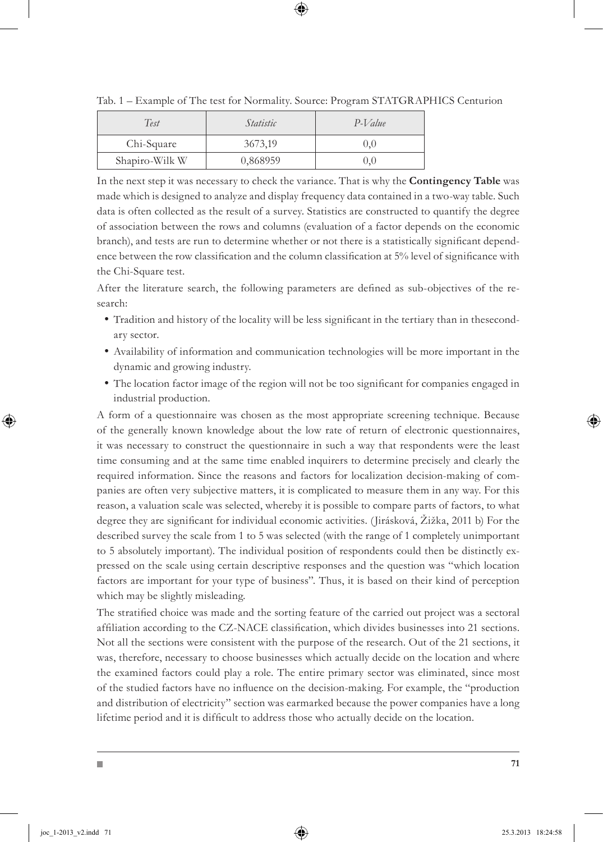| Test           | Statistic | $P-Value$ |
|----------------|-----------|-----------|
| Chi-Square     | 3673,19   | 0.0       |
| Shapiro-Wilk W | 0,868959  | 0.0       |

Tab. 1 – Example of The test for Normality. Source: Program STATGRAPHICS Centurion

In the next step it was necessary to check the variance. That is why the **Contingency Table** was made which is designed to analyze and display frequency data contained in a two-way table. Such data is often collected as the result of a survey. Statistics are constructed to quantify the degree of association between the rows and columns (evaluation of a factor depends on the economic branch), and tests are run to determine whether or not there is a statistically significant dependence between the row classification and the column classification at 5% level of significance with the Chi-Square test.

After the literature search, the following parameters are defined as sub-objectives of the research:

- Tradition and history of the locality will be less significant in the tertiary than in thesecond ary sector.
- Availability of information and communication technologies will be more important in the dynamic and growing industry.
- The location factor image of the region will not be too significant for companies engaged in industrial production.

A form of a questionnaire was chosen as the most appropriate screening technique. Because of the generally known knowledge about the low rate of return of electronic questionnaires, it was necessary to construct the questionnaire in such a way that respondents were the least time consuming and at the same time enabled inquirers to determine precisely and clearly the required information. Since the reasons and factors for localization decision-making of companies are often very subjective matters, it is complicated to measure them in any way. For this reason, a valuation scale was selected, whereby it is possible to compare parts of factors, to what degree they are significant for individual economic activities. (Jirásková, Žižka, 2011 b) For the described survey the scale from 1 to 5 was selected (with the range of 1 completely unimportant to 5 absolutely important). The individual position of respondents could then be distinctly expressed on the scale using certain descriptive responses and the question was "which location factors are important for your type of business". Thus, it is based on their kind of perception which may be slightly misleading.

The stratified choice was made and the sorting feature of the carried out project was a sectoral affiliation according to the CZ-NACE classification, which divides businesses into 21 sections. Not all the sections were consistent with the purpose of the research. Out of the 21 sections, it was, therefore, necessary to choose businesses which actually decide on the location and where the examined factors could play a role. The entire primary sector was eliminated, since most of the studied factors have no influence on the decision-making. For example, the "production and distribution of electricity" section was earmarked because the power companies have a long lifetime period and it is difficult to address those who actually decide on the location.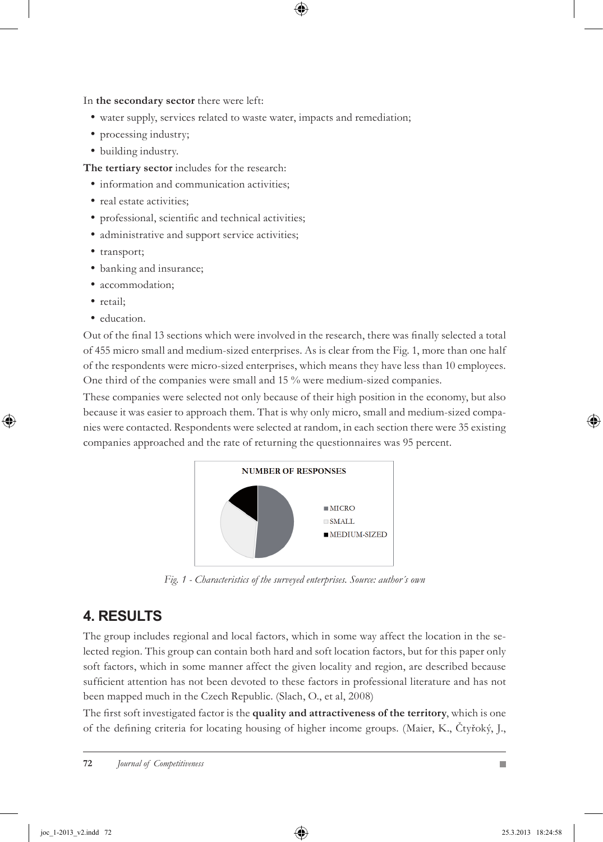In **the secondary sector** there were left:

- water supply, services related to waste water, impacts and remediation;
- processing industry;
- building industry.

**The tertiary sector** includes for the research:

- $\bullet$  information and communication activities;
- real estate activities;
- professional, scientific and technical activities;
- administrative and support service activities;
- transport;
- banking and insurance;
- accommodation;
- retail;
- education.

Out of the final 13 sections which were involved in the research, there was finally selected a total of 455 micro small and medium-sized enterprises. As is clear from the Fig. 1, more than one half of the respondents were micro-sized enterprises, which means they have less than 10 employees. One third of the companies were small and 15 % were medium-sized companies.

These companies were selected not only because of their high position in the economy, but also because it was easier to approach them. That is why only micro, small and medium-sized companies were contacted. Respondents were selected at random, in each section there were 35 existing companies approached and the rate of returning the questionnaires was 95 percent.



*Fig. 1 - Characteristics of the surveyed enterprises. Source: author´s own*

# **4. RESULTS**

The group includes regional and local factors, which in some way affect the location in the selected region. This group can contain both hard and soft location factors, but for this paper only soft factors, which in some manner affect the given locality and region, are described because sufficient attention has not been devoted to these factors in professional literature and has not been mapped much in the Czech Republic. (Slach, O., et al, 2008)

The first soft investigated factor is the **quality and attractiveness of the territory**, which is one of the defining criteria for locating housing of higher income groups. (Maier, K., Čtyřoký, J.,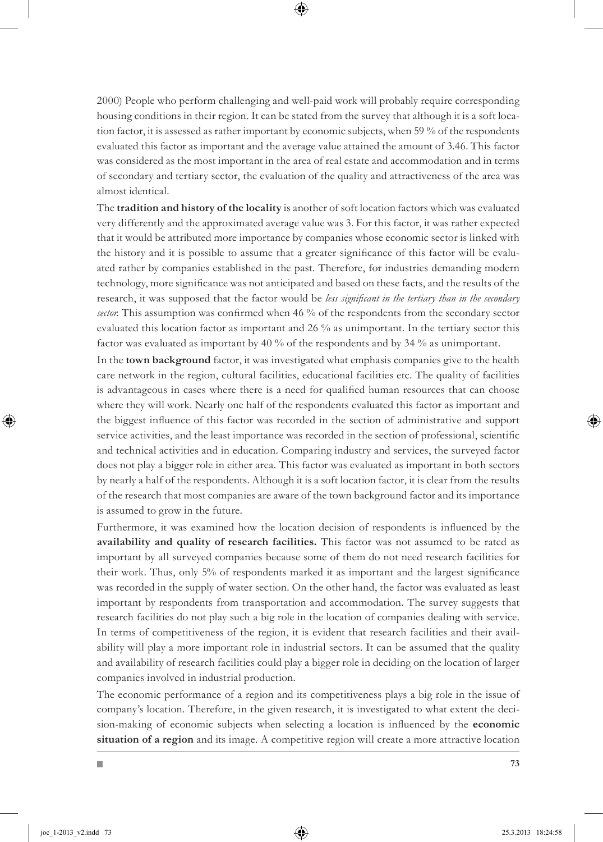2000) People who perform challenging and well-paid work will probably require corresponding housing conditions in their region. It can be stated from the survey that although it is a soft location factor, it is assessed as rather important by economic subjects, when 59 % of the respondents evaluated this factor as important and the average value attained the amount of 3.46. This factor was considered as the most important in the area of real estate and accommodation and in terms of secondary and tertiary sector, the evaluation of the quality and attractiveness of the area was almost identical.

The **tradition and history of the locality** is another of soft location factors which was evaluated very differently and the approximated average value was 3. For this factor, it was rather expected that it would be attributed more importance by companies whose economic sector is linked with the history and it is possible to assume that a greater significance of this factor will be evaluated rather by companies established in the past. Therefore, for industries demanding modern technology, more significance was not anticipated and based on these facts, and the results of the research, it was supposed that the factor would be *less significant in the tertiary than in the secondary sector*. This assumption was confirmed when 46 % of the respondents from the secondary sector evaluated this location factor as important and 26 % as unimportant. In the tertiary sector this factor was evaluated as important by 40 % of the respondents and by 34 % as unimportant.

In the **town background** factor, it was investigated what emphasis companies give to the health care network in the region, cultural facilities, educational facilities etc. The quality of facilities is advantageous in cases where there is a need for qualified human resources that can choose where they will work. Nearly one half of the respondents evaluated this factor as important and the biggest influence of this factor was recorded in the section of administrative and support service activities, and the least importance was recorded in the section of professional, scientific and technical activities and in education. Comparing industry and services, the surveyed factor does not play a bigger role in either area. This factor was evaluated as important in both sectors by nearly a half of the respondents. Although it is a soft location factor, it is clear from the results of the research that most companies are aware of the town background factor and its importance is assumed to grow in the future.

Furthermore, it was examined how the location decision of respondents is influenced by the **availability and quality of research facilities.** This factor was not assumed to be rated as important by all surveyed companies because some of them do not need research facilities for their work. Thus, only 5% of respondents marked it as important and the largest significance was recorded in the supply of water section. On the other hand, the factor was evaluated as least important by respondents from transportation and accommodation. The survey suggests that research facilities do not play such a big role in the location of companies dealing with service. In terms of competitiveness of the region, it is evident that research facilities and their availability will play a more important role in industrial sectors. It can be assumed that the quality and availability of research facilities could play a bigger role in deciding on the location of larger companies involved in industrial production.

The economic performance of a region and its competitiveness plays a big role in the issue of company's location. Therefore, in the given research, it is investigated to what extent the decision-making of economic subjects when selecting a location is influenced by the **economic situation of a region** and its image. A competitive region will create a more attractive location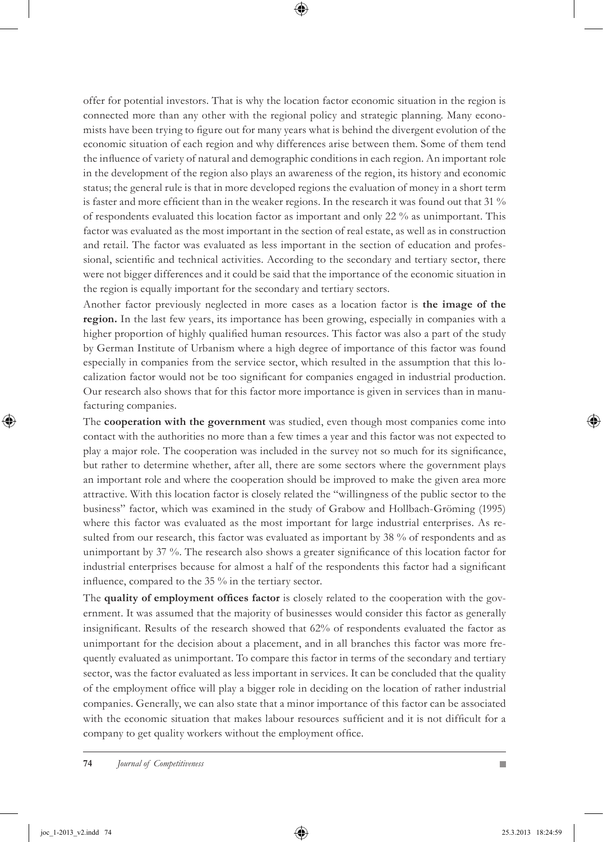offer for potential investors. That is why the location factor economic situation in the region is connected more than any other with the regional policy and strategic planning. Many economists have been trying to figure out for many years what is behind the divergent evolution of the economic situation of each region and why differences arise between them. Some of them tend the influence of variety of natural and demographic conditions in each region. An important role in the development of the region also plays an awareness of the region, its history and economic status; the general rule is that in more developed regions the evaluation of money in a short term is faster and more efficient than in the weaker regions. In the research it was found out that 31 % of respondents evaluated this location factor as important and only 22 % as unimportant. This factor was evaluated as the most important in the section of real estate, as well as in construction and retail. The factor was evaluated as less important in the section of education and professional, scientific and technical activities. According to the secondary and tertiary sector, there were not bigger differences and it could be said that the importance of the economic situation in the region is equally important for the secondary and tertiary sectors.

Another factor previously neglected in more cases as a location factor is **the image of the region.** In the last few years, its importance has been growing, especially in companies with a higher proportion of highly qualified human resources. This factor was also a part of the study by German Institute of Urbanism where a high degree of importance of this factor was found especially in companies from the service sector, which resulted in the assumption that this localization factor would not be too significant for companies engaged in industrial production. Our research also shows that for this factor more importance is given in services than in manufacturing companies.

The **cooperation with the government** was studied, even though most companies come into contact with the authorities no more than a few times a year and this factor was not expected to play a major role. The cooperation was included in the survey not so much for its significance, but rather to determine whether, after all, there are some sectors where the government plays an important role and where the cooperation should be improved to make the given area more attractive. With this location factor is closely related the "willingness of the public sector to the business" factor, which was examined in the study of Grabow and Hollbach-Gröming (1995) where this factor was evaluated as the most important for large industrial enterprises. As resulted from our research, this factor was evaluated as important by 38 % of respondents and as unimportant by 37 %. The research also shows a greater significance of this location factor for industrial enterprises because for almost a half of the respondents this factor had a significant influence, compared to the 35 % in the tertiary sector.

The **quality of employment offices factor** is closely related to the cooperation with the government. It was assumed that the majority of businesses would consider this factor as generally insignificant. Results of the research showed that 62% of respondents evaluated the factor as unimportant for the decision about a placement, and in all branches this factor was more frequently evaluated as unimportant. To compare this factor in terms of the secondary and tertiary sector, was the factor evaluated as less important in services. It can be concluded that the quality of the employment office will play a bigger role in deciding on the location of rather industrial companies. Generally, we can also state that a minor importance of this factor can be associated with the economic situation that makes labour resources sufficient and it is not difficult for a company to get quality workers without the employment office.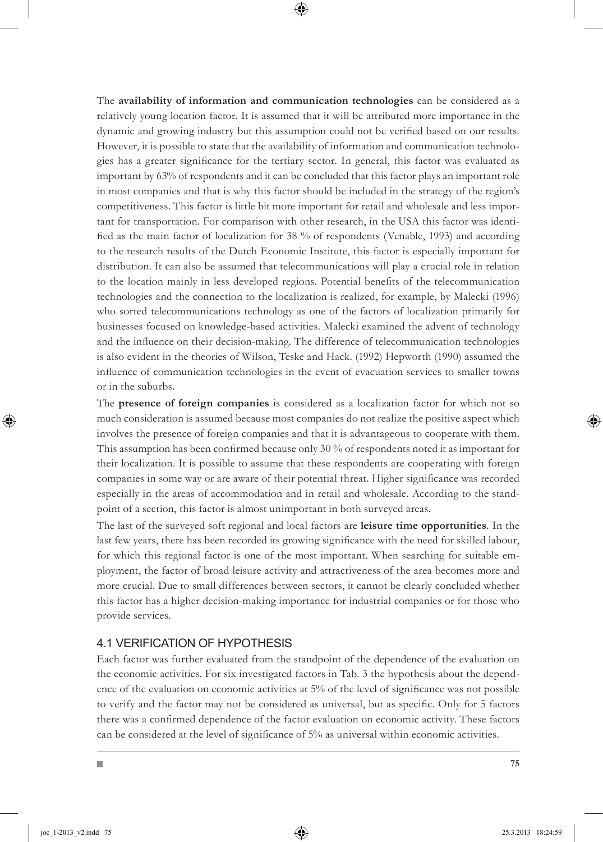The **availability of information and communication technologies** can be considered as a relatively young location factor. It is assumed that it will be attributed more importance in the dynamic and growing industry but this assumption could not be verified based on our results. However, it is possible to state that the availability of information and communication technologies has a greater significance for the tertiary sector. In general, this factor was evaluated as important by 63% of respondents and it can be concluded that this factor plays an important role in most companies and that is why this factor should be included in the strategy of the region's competitiveness. This factor is little bit more important for retail and wholesale and less important for transportation. For comparison with other research, in the USA this factor was identified as the main factor of localization for 38 % of respondents (Venable, 1993) and according to the research results of the Dutch Economic Institute, this factor is especially important for distribution. It can also be assumed that telecommunications will play a crucial role in relation to the location mainly in less developed regions. Potential benefits of the telecommunication technologies and the connection to the localization is realized, for example, by Malecki (1996) who sorted telecommunications technology as one of the factors of localization primarily for businesses focused on knowledge-based activities. Malecki examined the advent of technology and the influence on their decision-making. The difference of telecommunication technologies is also evident in the theories of Wilson, Teske and Hack. (1992) Hepworth (1990) assumed the influence of communication technologies in the event of evacuation services to smaller towns or in the suburbs.

The **presence of foreign companies** is considered as a localization factor for which not so much consideration is assumed because most companies do not realize the positive aspect which involves the presence of foreign companies and that it is advantageous to cooperate with them. This assumption has been confirmed because only 30 % of respondents noted it as important for their localization. It is possible to assume that these respondents are cooperating with foreign companies in some way or are aware of their potential threat. Higher significance was recorded especially in the areas of accommodation and in retail and wholesale. According to the standpoint of a section, this factor is almost unimportant in both surveyed areas.

The last of the surveyed soft regional and local factors are **leisure time opportunities**. In the last few years, there has been recorded its growing significance with the need for skilled labour, for which this regional factor is one of the most important. When searching for suitable employment, the factor of broad leisure activity and attractiveness of the area becomes more and more crucial. Due to small differences between sectors, it cannot be clearly concluded whether this factor has a higher decision-making importance for industrial companies or for those who provide services.

#### 4.1 VERIFICATION OF HYPOTHESIS

Each factor was further evaluated from the standpoint of the dependence of the evaluation on the economic activities. For six investigated factors in Tab. 3 the hypothesis about the dependence of the evaluation on economic activities at 5% of the level of significance was not possible to verify and the factor may not be considered as universal, but as specific. Only for 5 factors there was a confirmed dependence of the factor evaluation on economic activity. These factors can be considered at the level of significance of 5% as universal within economic activities.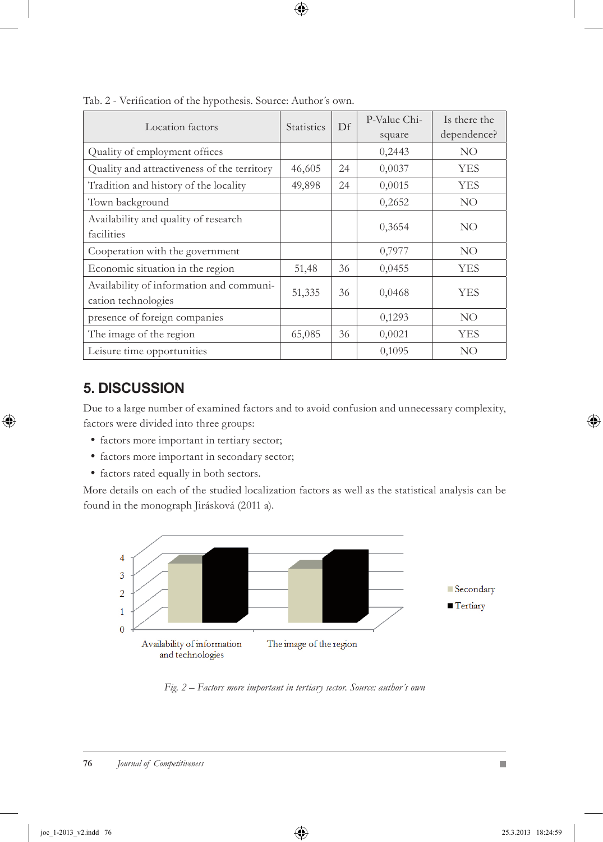| Location factors                                                | <b>Statistics</b> | Df | P-Value Chi-<br>square | Is there the<br>dependence? |
|-----------------------------------------------------------------|-------------------|----|------------------------|-----------------------------|
| Quality of employment offices                                   |                   |    | 0,2443                 | NO.                         |
| Quality and attractiveness of the territory                     | 46,605            | 24 | 0,0037                 | YES                         |
| Tradition and history of the locality                           | 49,898            | 24 | 0,0015                 | YES                         |
| Town background                                                 |                   |    | 0,2652                 | NO.                         |
| Availability and quality of research<br>facilities              |                   |    | 0,3654                 | NO.                         |
| Cooperation with the government                                 |                   |    | 0,7977                 | NO.                         |
| Economic situation in the region                                | 51,48             | 36 | 0,0455                 | YES                         |
| Availability of information and communi-<br>cation technologies | 51,335            | 36 | 0,0468                 | YES                         |
| presence of foreign companies                                   |                   |    | 0,1293                 | NO.                         |
| The image of the region                                         | 65,085            | 36 | 0,0021                 | YES                         |
| Leisure time opportunities                                      |                   |    | 0,1095                 | NO.                         |

Tab. 2 - Verification of the hypothesis. Source: Author´s own.

# **5. DISCUSSION**

Due to a large number of examined factors and to avoid confusion and unnecessary complexity, factors were divided into three groups:

- factors more important in tertiary sector;
- factors more important in secondary sector;
- factors rated equally in both sectors.

More details on each of the studied localization factors as well as the statistical analysis can be found in the monograph Jirásková (2011 a).



*Fig. 2 – Factors more important in tertiary sector. Source: author´s own*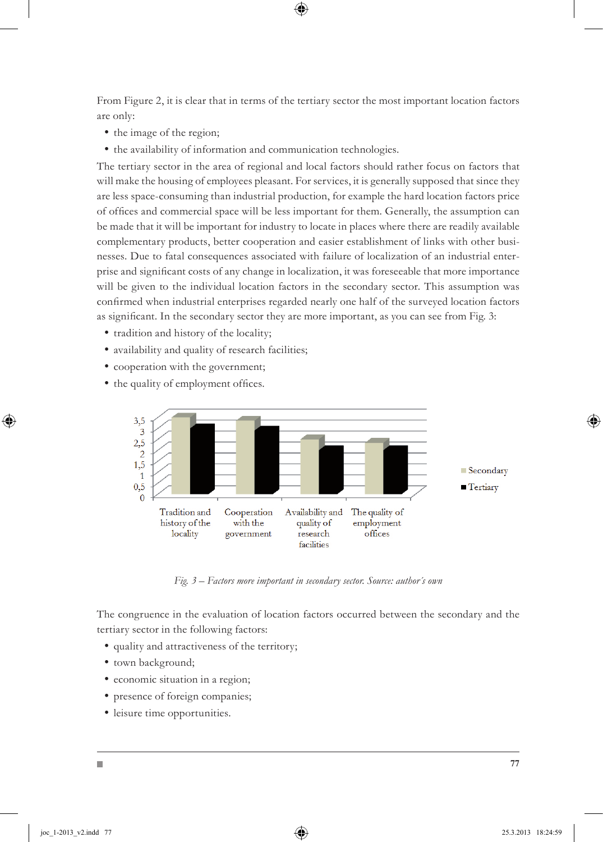From Figure 2, it is clear that in terms of the tertiary sector the most important location factors are only:

- the image of the region;
- the availability of information and communication technologies.

The tertiary sector in the area of regional and local factors should rather focus on factors that will make the housing of employees pleasant. For services, it is generally supposed that since they are less space-consuming than industrial production, for example the hard location factors price of offices and commercial space will be less important for them. Generally, the assumption can be made that it will be important for industry to locate in places where there are readily available complementary products, better cooperation and easier establishment of links with other businesses. Due to fatal consequences associated with failure of localization of an industrial enterprise and significant costs of any change in localization, it was foreseeable that more importance will be given to the individual location factors in the secondary sector. This assumption was confirmed when industrial enterprises regarded nearly one half of the surveyed location factors as significant. In the secondary sector they are more important, as you can see from Fig. 3:

- tradition and history of the locality;
- availability and quality of research facilities;
- cooperation with the government;
- the quality of employment offices.



*Fig. 3 – Factors more important in secondary sector. Source: author´s own*

The congruence in the evaluation of location factors occurred between the secondary and the tertiary sector in the following factors:

- quality and attractiveness of the territory;
- town background;
- economic situation in a region;
- presence of foreign companies;
- leisure time opportunities.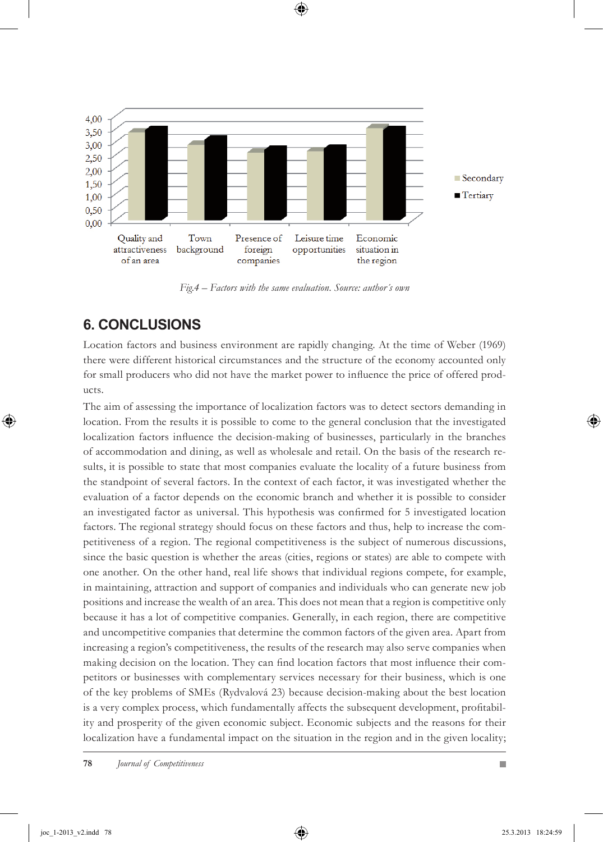

*Fig.4 – Factors with the same evaluation. Source: author´s own*

### **6. CONCLUSIONS**

Location factors and business environment are rapidly changing. At the time of Weber (1969) there were different historical circumstances and the structure of the economy accounted only for small producers who did not have the market power to influence the price of offered products.

The aim of assessing the importance of localization factors was to detect sectors demanding in location. From the results it is possible to come to the general conclusion that the investigated localization factors influence the decision-making of businesses, particularly in the branches of accommodation and dining, as well as wholesale and retail. On the basis of the research results, it is possible to state that most companies evaluate the locality of a future business from the standpoint of several factors. In the context of each factor, it was investigated whether the evaluation of a factor depends on the economic branch and whether it is possible to consider an investigated factor as universal. This hypothesis was confirmed for 5 investigated location factors. The regional strategy should focus on these factors and thus, help to increase the competitiveness of a region. The regional competitiveness is the subject of numerous discussions, since the basic question is whether the areas (cities, regions or states) are able to compete with one another. On the other hand, real life shows that individual regions compete, for example, in maintaining, attraction and support of companies and individuals who can generate new job positions and increase the wealth of an area. This does not mean that a region is competitive only because it has a lot of competitive companies. Generally, in each region, there are competitive and uncompetitive companies that determine the common factors of the given area. Apart from increasing a region's competitiveness, the results of the research may also serve companies when making decision on the location. They can find location factors that most influence their competitors or businesses with complementary services necessary for their business, which is one of the key problems of SMEs (Rydvalová 23) because decision-making about the best location is a very complex process, which fundamentally affects the subsequent development, profitability and prosperity of the given economic subject. Economic subjects and the reasons for their localization have a fundamental impact on the situation in the region and in the given locality;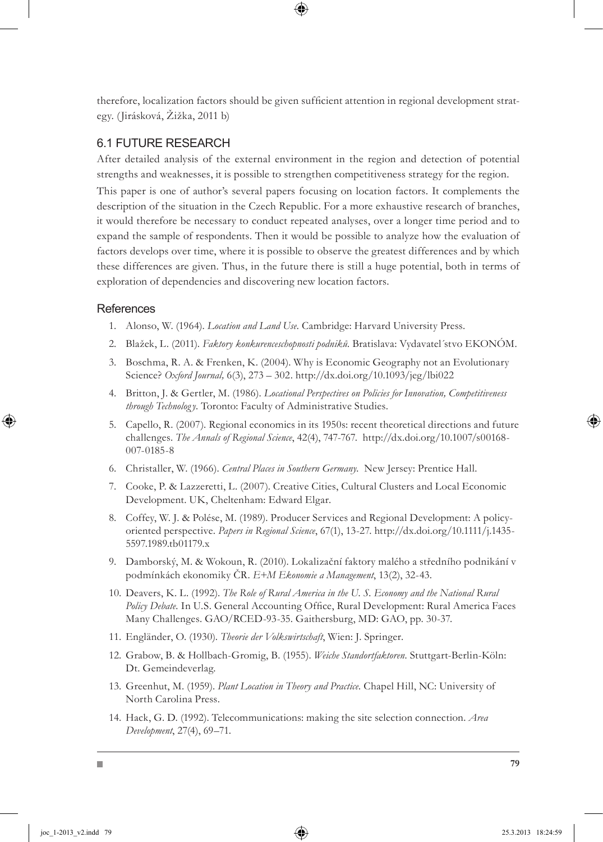therefore, localization factors should be given sufficient attention in regional development strategy. (Jirásková, Žižka, 2011 b)

#### 6.1 FUTURE RESEARCH

After detailed analysis of the external environment in the region and detection of potential strengths and weaknesses, it is possible to strengthen competitiveness strategy for the region.

This paper is one of author's several papers focusing on location factors. It complements the description of the situation in the Czech Republic. For a more exhaustive research of branches, it would therefore be necessary to conduct repeated analyses, over a longer time period and to expand the sample of respondents. Then it would be possible to analyze how the evaluation of factors develops over time, where it is possible to observe the greatest differences and by which these differences are given. Thus, in the future there is still a huge potential, both in terms of exploration of dependencies and discovering new location factors.

#### **References**

- 1. Alonso, W. (1964). *Location and Land Use*. Cambridge: Harvard University Press.
- 2. Blažek, L. (2011). *Faktory konkurenceschopnosti podniků*. Bratislava: Vydavatel´stvo EKONÓM.
- 3. Boschma, R. A. & Frenken, K. (2004). Why is Economic Geography not an Evolutionary Science? *Oxford Journal,* 6(3), 273 – 302. http://dx.doi.org/10.1093/jeg/lbi022
- Britton, J. & Gertler, M. (1986). *Locational Perspectives on Policies for Innovation, Competitiveness*  4. *through Technolog y.* Toronto: Faculty of Administrative Studies.
- 5. Capello, R. (2007). Regional economics in its 1950s: recent theoretical directions and future challenges. *The Annals of Regional Science*, 42(4), 747-767. http://dx.doi.org/10.1007/s00168- 007-0185-8
- 6. Christaller, W. (1966). Central Places in Southern Germany. New Jersey: Prentice Hall.
- 7. Cooke, P. & Lazzeretti, L. (2007). Creative Cities, Cultural Clusters and Local Economic Development. UK, Cheltenham: Edward Elgar.
- Coffey, W. J. & Polése, M. (1989). Producer Services and Regional Development: A policy-8. oriented perspective. *Papers in Regional Science*, 67(1), 13-27. http://dx.doi.org/10.1111/j.1435- 5597.1989.tb01179.x
- 9. Damborský, M. & Wokoun, R. (2010). Lokalizační faktory malého a středního podnikání v podmínkách ekonomiky ČR. *E+M Ekonomie a Management*, 13(2), 32-43.
- 10. Deavers, K. L. (1992). *The Role of Rural America in the U. S. Economy and the National Rural Policy Debate.* In U.S. General Accounting Office, Rural Development: Rural America Faces Many Challenges. GAO/RCED-93-35. Gaithersburg, MD: GAO, pp. 30-37.
- Engländer, O. (1930). *Theorie der Volkswirtschaft*, Wien: J. Springer. 11.
- Grabow, B. & Hollbach-Gromig, B. (1955). *Weiche Standortfaktoren.* Stuttgart-Berlin-Köln: 12. Dt. Gemeindeverlag.
- 13. Greenhut, M. (1959). Plant Location in Theory and Practice. Chapel Hill, NC: University of North Carolina Press.
- 14. Hack, G. D. (1992). Telecommunications: making the site selection connection. Area *Development*, 27(4), 69–71.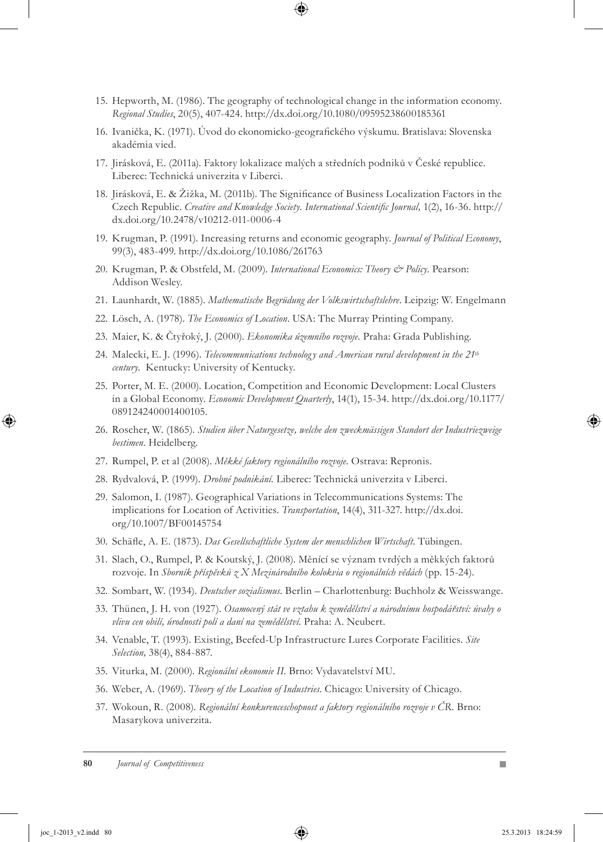- 15. Hepworth, M. (1986). The geography of technological change in the information economy. *Regional Studies*, 20(5), 407-424. http://dx.doi.org/10.1080/09595238600185361
- 16. Ivanička, K. (1971). Uvod do ekonomicko-geografického výskumu. Bratislava: Slovenska akadémia vied.
- 17. Jirásková, E. (2011a). Faktory lokalizace malých a středních podniků v České republice. Liberec: Technická univerzita v Liberci.
- 18. Jirásková, E. & Zižka, M. (2011b). The Significance of Business Localization Factors in the Czech Republic. *Creative and Knowledge Society. International Scientific Journal,* 1(2), 16-36. http:// dx.doi.org/10.2478/v10212-011-0006-4
- 19. Krugman, P. (1991). Increasing returns and economic geography. *Journal of Political Economy*, 99(3), 483-499. http://dx.doi.org/10.1086/261763
- 20. Krugman, P. & Obstfeld, M. (2009). International Economics: Theory & Policy. Pearson: Addison Wesley.
- Launhardt, W. (1885). *Mathematische Begrüdung der Volkswirtschaftslehre*. Leipzig: W. Engelmann 21.
- 22. Lösch, A. (1978). *The Economics of Location*. USA: The Murray Printing Company.
- Maier, K. & Čtyřoký, J. (2000). *Ekonomika územního rozvoje.* Praha: Grada Publishing. 23.
- 24. Malecki, E. J. (1996). *Telecommunications technology and American rural development in the 21*# *century.* Kentucky: University of Kentucky.
- 25. Porter, M. E. (2000). Location, Competition and Economic Development: Local Clusters in a Global Economy. *Economic Development Quarterly*, 14(1), 15-34. http://dx.doi.org/10.1177/ 089124240001400105.
- 26. Roscher, W. (1865). *Studien über Naturgesetze, welche den zweckmässigen Standort der Industriezweige bestimen.* Heidelberg.
- 27. Rumpel, P. et al (2008). Měkké faktory regionálního rozvoje. Ostrava: Repronis.
- 28. Rydvalová, P. (1999). *Drobné podnikání*. Liberec: Technická univerzita v Liberci.
- 29. Salomon, I. (1987). Geographical Variations in Telecommunications Systems: The implications for Location of Activities. *Transportation*, 14(4), 311-327. http://dx.doi. org/10.1007/BF00145754
- Schäfle, A. E. (1873). *Das Gesellschaftliche System der menschlichen Wirtschaft.* Tübingen. 30.
- Slach, O., Rumpel, P. & Koutský, J. (2008). Měnící se význam tvrdých a měkkých faktorů 31. rozvoje. In *Sborník příspěvků z X Mezinárodního kolokvia o regionálních vědách* (pp. 15-24).
- 32. Sombart, W. (1934). *Deutscher sozialismus*. Berlin Charlottenburg: Buchholz & Weisswange.
- Thünen, J. H. von (1927). *Osamocený stát ve vztahu k zemědělství a národnímu hospodářství: úvahy o*  33. *vlivu cen obilí, úrodnosti polí a daní na zemědělství.* Praha: A. Neubert.
- 34. Venable, T. (1993). Existing, Beefed-Up Infrastructure Lures Corporate Facilities. Site *Selection,* 38(4), 884-887.
- 35. Viturka, M. (2000). Regionální ekonomie II. Brno: Vydavatelství MU.
- Weber, A. (1969). *Theory of the Location of Industries.* Chicago: University of Chicago. 36.
- Wokoun, R. (2008). *Regionální konkurenceschopnost a faktory regionálního rozvoje v ČR.* Brno: 37. Masarykova univerzita.